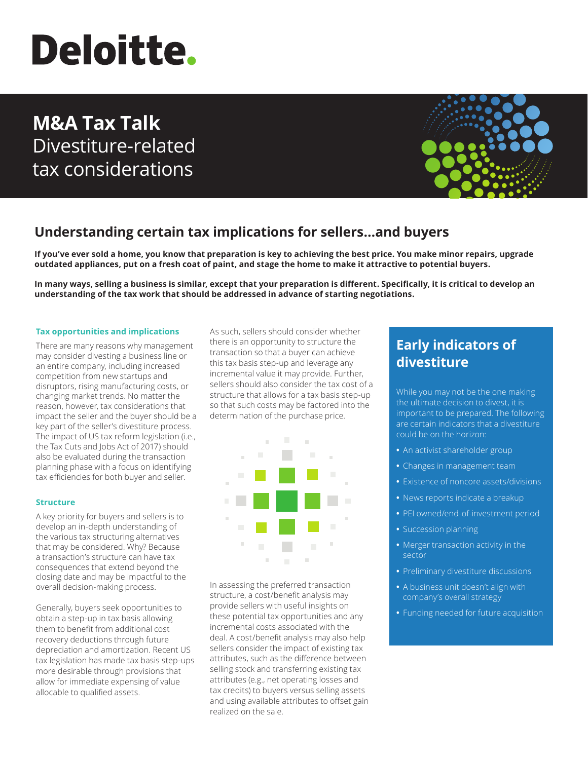# **Deloitte.**

## **M&A Tax Talk** Divestiture-related tax considerations



## **Understanding certain tax implications for sellers…and buyers**

**If you've ever sold a home, you know that preparation is key to achieving the best price. You make minor repairs, upgrade outdated appliances, put on a fresh coat of paint, and stage the home to make it attractive to potential buyers.**

**In many ways, selling a business is similar, except that your preparation is different. Specifically, it is critical to develop an understanding of the tax work that should be addressed in advance of starting negotiations.**

#### **Tax opportunities and implications**

There are many reasons why management may consider divesting a business line or an entire company, including increased competition from new startups and disruptors, rising manufacturing costs, or changing market trends. No matter the reason, however, tax considerations that impact the seller and the buyer should be a key part of the seller's divestiture process. The impact of US tax reform legislation (i.e., the Tax Cuts and Jobs Act of 2017) should also be evaluated during the transaction planning phase with a focus on identifying tax efficiencies for both buyer and seller.

#### **Structure**

A key priority for buyers and sellers is to develop an in-depth understanding of the various tax structuring alternatives that may be considered. Why? Because a transaction's structure can have tax consequences that extend beyond the closing date and may be impactful to the overall decision-making process.

Generally, buyers seek opportunities to obtain a step-up in tax basis allowing them to benefit from additional cost recovery deductions through future depreciation and amortization. Recent US tax legislation has made tax basis step-ups more desirable through provisions that allow for immediate expensing of value allocable to qualified assets.

As such, sellers should consider whether there is an opportunity to structure the transaction so that a buyer can achieve this tax basis step-up and leverage any incremental value it may provide. Further, sellers should also consider the tax cost of a structure that allows for a tax basis step-up so that such costs may be factored into the determination of the purchase price.



In assessing the preferred transaction structure, a cost/benefit analysis may provide sellers with useful insights on these potential tax opportunities and any incremental costs associated with the deal. A cost/benefit analysis may also help sellers consider the impact of existing tax attributes, such as the difference between selling stock and transferring existing tax attributes (e.g., net operating losses and tax credits) to buyers versus selling assets and using available attributes to offset gain realized on the sale.

## **Early indicators of divestiture**

While you may not be the one making the ultimate decision to divest, it is important to be prepared. The following are certain indicators that a divestiture could be on the horizon:

- **•** An activist shareholder group
- **•** Changes in management team
- **•** Existence of noncore assets/divisions
- **•** News reports indicate a breakup
- **•** PEI owned/end-of-investment period
- **•** Succession planning
- **•** Merger transaction activity in the sector
- **•** Preliminary divestiture discussions
- **•** A business unit doesn't align with company's overall strategy
- **•** Funding needed for future acquisition